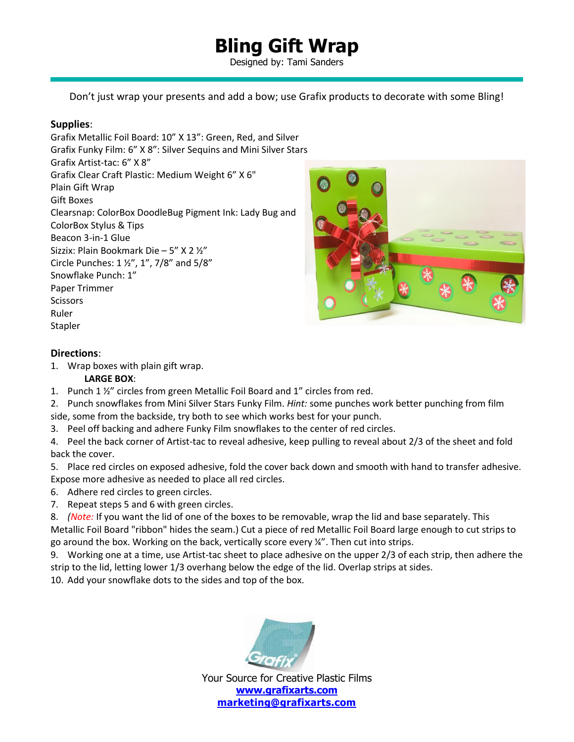## **Bling Gift Wrap**

Designed by: Tami Sanders

Don't just wrap your presents and add a bow; use Grafix products to decorate with some Bling!

## **Supplies**:

Grafix Metallic Foil Board: 10" X 13": Green, Red, and Silver Grafix Funky Film: 6" X 8": Silver Sequins and Mini Silver Stars Grafix Artist-tac: 6" X 8" Grafix Clear Craft Plastic: Medium Weight 6" X 6" Plain Gift Wrap Gift Boxes Clearsnap: ColorBox DoodleBug Pigment Ink: Lady Bug and ColorBox Stylus & Tips Beacon 3-in-1 Glue Sizzix: Plain Bookmark Die – 5" X 2 ½" Circle Punches: 1 ½", 1", 7/8" and 5/8" Snowflake Punch: 1" Paper Trimmer **Scissors** Ruler Stapler



#### **Directions**:

1. Wrap boxes with plain gift wrap.

### **LARGE BOX**:

- 1. Punch 1 ½" circles from green Metallic Foil Board and 1" circles from red.
- 2. Punch snowflakes from Mini Silver Stars Funky Film. *Hint:* some punches work better punching from film side, some from the backside, try both to see which works best for your punch.
- 3. Peel off backing and adhere Funky Film snowflakes to the center of red circles.
- 4. Peel the back corner of Artist-tac to reveal adhesive, keep pulling to reveal about 2/3 of the sheet and fold back the cover.
- 5. Place red circles on exposed adhesive, fold the cover back down and smooth with hand to transfer adhesive. Expose more adhesive as needed to place all red circles.
- 6. Adhere red circles to green circles.
- 7. Repeat steps 5 and 6 with green circles.
- 8. *(Note:* If you want the lid of one of the boxes to be removable, wrap the lid and base separately. This Metallic Foil Board "ribbon" hides the seam.) Cut a piece of red Metallic Foil Board large enough to cut strips to go around the box. Working on the back, vertically score every ¼". Then cut into strips.
- 9. Working one at a time, use Artist-tac sheet to place adhesive on the upper 2/3 of each strip, then adhere the strip to the lid, letting lower 1/3 overhang below the edge of the lid. Overlap strips at sides.
- 10. Add your snowflake dots to the sides and top of the box.



Your Source for Creative Plastic Films **[www.grafixarts.com](http://www.grafixarts.com/) [marketing@grafixarts.com](mailto:marketing@grafixarts.com)**